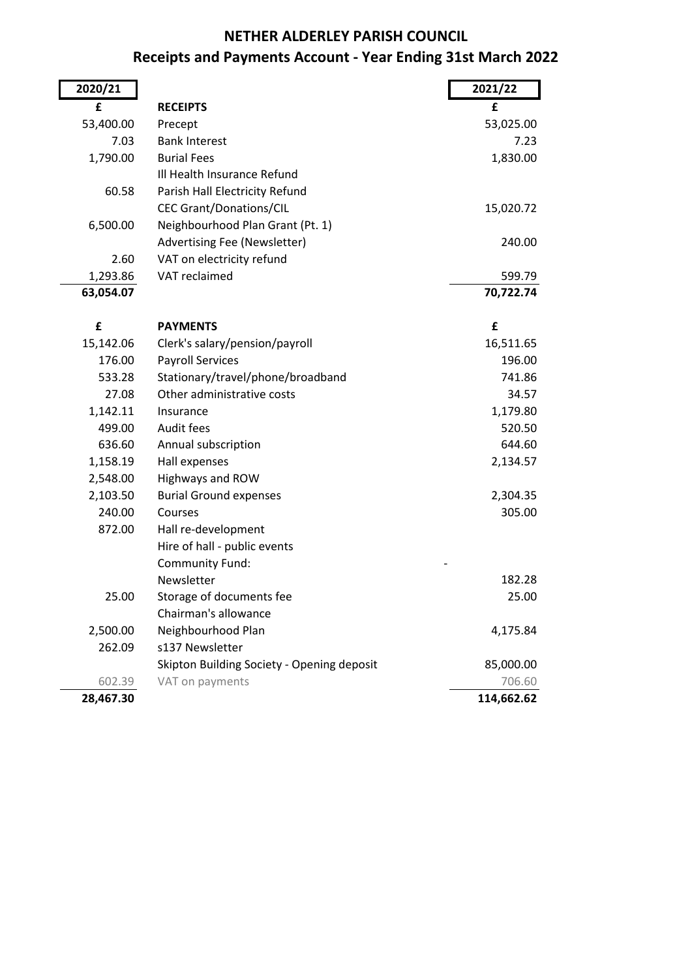#### **NETHER ALDERLEY PARISH COUNCIL**

## **Receipts and Payments Account - Year Ending 31st March 2022**

| 2020/21   |                                            | 2021/22    |
|-----------|--------------------------------------------|------------|
| £         | <b>RECEIPTS</b>                            | £          |
| 53,400.00 | Precept                                    | 53,025.00  |
| 7.03      | <b>Bank Interest</b>                       | 7.23       |
| 1,790.00  | <b>Burial Fees</b>                         | 1,830.00   |
|           | Ill Health Insurance Refund                |            |
| 60.58     | Parish Hall Electricity Refund             |            |
|           | <b>CEC Grant/Donations/CIL</b>             | 15,020.72  |
| 6,500.00  | Neighbourhood Plan Grant (Pt. 1)           |            |
|           | Advertising Fee (Newsletter)               | 240.00     |
| 2.60      | VAT on electricity refund                  |            |
| 1,293.86  | VAT reclaimed                              | 599.79     |
| 63,054.07 |                                            | 70,722.74  |
| £         | <b>PAYMENTS</b>                            | £          |
| 15,142.06 | Clerk's salary/pension/payroll             | 16,511.65  |
| 176.00    | <b>Payroll Services</b>                    | 196.00     |
| 533.28    | Stationary/travel/phone/broadband          | 741.86     |
| 27.08     | Other administrative costs                 | 34.57      |
| 1,142.11  | Insurance                                  | 1,179.80   |
| 499.00    | Audit fees                                 | 520.50     |
| 636.60    | Annual subscription                        | 644.60     |
| 1,158.19  | Hall expenses                              | 2,134.57   |
| 2,548.00  | Highways and ROW                           |            |
| 2,103.50  | <b>Burial Ground expenses</b>              | 2,304.35   |
| 240.00    | Courses                                    | 305.00     |
| 872.00    | Hall re-development                        |            |
|           | Hire of hall - public events               |            |
|           | Community Fund:                            |            |
|           | Newsletter                                 | 182.28     |
| 25.00     | Storage of documents fee                   | 25.00      |
|           | Chairman's allowance                       |            |
| 2,500.00  | Neighbourhood Plan                         | 4,175.84   |
| 262.09    | s137 Newsletter                            |            |
|           | Skipton Building Society - Opening deposit | 85,000.00  |
| 602.39    | VAT on payments                            | 706.60     |
| 28,467.30 |                                            | 114,662.62 |